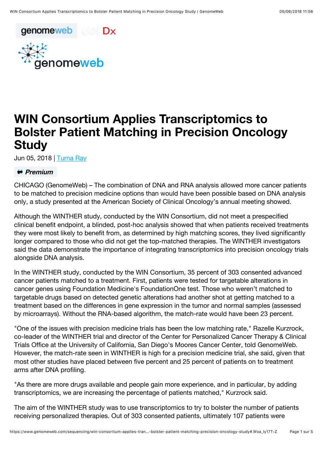



## WIN Consortium Applies Transcriptomics to Bolster Patient Matching in Precision Oncology **Study**

Jun 05, 2018 | [Turna Ray](https://www.genomeweb.com/about-us/our-staff/turna-ray)

## *<u>if</u>* Premium

CHICAGO (GenomeWeb) – The combination of DNA and RNA analysis allowed more cancer patients to be matched to precision medicine options than would have been possible based on DNA analysis only, a study presented at the American Society of Clinical Oncology's annual meeting showed.

Although the WINTHER study, conducted by the WIN Consortium, did not meet a prespecified clinical benefit endpoint, a blinded, post-hoc analysis showed that when patients received treatments they were most likely to benefit from, as determined by high matching scores, they lived significantly longer compared to those who did not get the top-matched therapies. The WINTHER investigators said the data demonstrate the importance of integrating transcriptomics into precision oncology trials alongside DNA analysis.

In the WINTHER study, conducted by the WIN Consortium, 35 percent of 303 consented advanced cancer patients matched to a treatment. First, patients were tested for targetable alterations in cancer genes using Foundation Medicine's FoundationOne test. Those who weren't matched to targetable drugs based on detected genetic alterations had another shot at getting matched to a treatment based on the differences in gene expression in the tumor and normal samples (assessed by microarrays). Without the RNA-based algorithm, the match-rate would have been 23 percent.

"One of the issues with precision medicine trials has been the low matching rate," Razelle Kurzrock, co-leader of the WINTHER trial and director of the Center for Personalized Cancer Therapy & Clinical Trials Office at the University of California, San Diego's Moores Cancer Center, told GenomeWeb. However, the match-rate seen in WINTHER is high for a precision medicine trial, she said, given that most other studies have placed between five percent and 25 percent of patients on to treatment arms after DNA profiling.

"As there are more drugs available and people gain more experience, and in particular, by adding transcriptomics, we are increasing the percentage of patients matched," Kurzrock said.

The aim of the WINTHER study was to use transcriptomics to try to bolster the number of patients receiving personalized therapies. Out of 303 consented patients, ultimately 107 patients were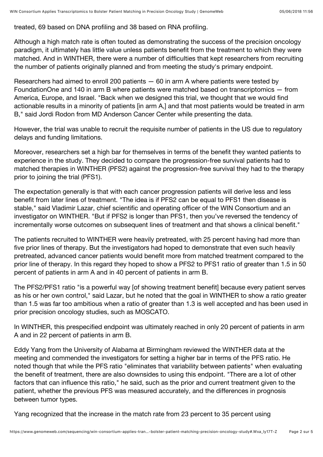treated, 69 based on DNA profiling and 38 based on RNA profiling.

Although a high match rate is often touted as demonstrating the success of the precision oncology paradigm, it ultimately has little value unless patients benefit from the treatment to which they were matched. And in WINTHER, there were a number of difficulties that kept researchers from recruiting the number of patients originally planned and from meeting the study's primary endpoint.

Researchers had aimed to enroll 200 patients  $-60$  in arm A where patients were tested by FoundationOne and 140 in arm B where patients were matched based on transcriptomics — from America, Europe, and Israel. "Back when we designed this trial, we thought that we would find actionable results in a minority of patients [in arm A,] and that most patients would be treated in arm B," said Jordi Rodon from MD Anderson Cancer Center while presenting the data.

However, the trial was unable to recruit the requisite number of patients in the US due to regulatory delays and funding limitations.

Moreover, researchers set a high bar for themselves in terms of the benefit they wanted patients to experience in the study. They decided to compare the progression-free survival patients had to matched therapies in WINTHER (PFS2) against the progression-free survival they had to the therapy prior to joining the trial (PFS1).

The expectation generally is that with each cancer progression patients will derive less and less benefit from later lines of treatment. "The idea is if PFS2 can be equal to PFS1 then disease is stable," said Vladimir Lazar, chief scientific and operating officer of the WIN Consortium and an investigator on WINTHER. "But if PFS2 is longer than PFS1, then you've reversed the tendency of incrementally worse outcomes on subsequent lines of treatment and that shows a clinical benefit."

The patients recruited to WINTHER were heavily pretreated, with 25 percent having had more than five prior lines of therapy. But the investigators had hoped to demonstrate that even such heavily pretreated, advanced cancer patients would benefit more from matched treatment compared to the prior line of therapy. In this regard they hoped to show a PFS2 to PFS1 ratio of greater than 1.5 in 50 percent of patients in arm A and in 40 percent of patients in arm B.

The PFS2/PFS1 ratio "is a powerful way [of showing treatment benefit] because every patient serves as his or her own control," said Lazar, but he noted that the goal in WINTHER to show a ratio greater than 1.5 was far too ambitious when a ratio of greater than 1.3 is well accepted and has been used in prior precision oncology studies, such as MOSCATO.

In WINTHER, this prespecified endpoint was ultimately reached in only 20 percent of patients in arm A and in 22 percent of patients in arm B.

Eddy Yang from the University of Alabama at Birmingham reviewed the WINTHER data at the meeting and commended the investigators for setting a higher bar in terms of the PFS ratio. He noted though that while the PFS ratio "eliminates that variability between patients" when evaluating the benefit of treatment, there are also downsides to using this endpoint. "There are a lot of other factors that can influence this ratio," he said, such as the prior and current treatment given to the patient, whether the previous PFS was measured accurately, and the differences in prognosis between tumor types.

Yang recognized that the increase in the match rate from 23 percent to 35 percent using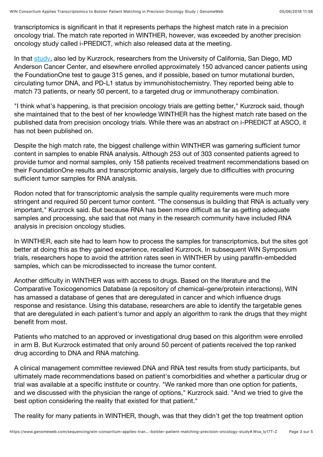transcriptomics is significant in that it represents perhaps the highest match rate in a precision oncology trial. The match rate reported in WINTHER, however, was exceeded by another precision oncology study called i-PREDICT, which also released data at the meeting.

In that [study,](https://meetinglibrary.asco.org/record/160750/abstract) also led by Kurzrock, researchers from the University of California, San Diego, MD Anderson Cancer Center, and elsewhere enrolled approximately 150 advanced cancer patients using the FoundationOne test to gauge 315 genes, and if possible, based on tumor mutational burden, circulating tumor DNA, and PD-L1 status by immunohistochemistry. They reported being able to match 73 patients, or nearly 50 percent, to a targeted drug or immunotherapy combination.

"I think what's happening, is that precision oncology trials are getting better," Kurzrock said, though she maintained that to the best of her knowledge WINTHER has the highest match rate based on the published data from precision oncology trials. While there was an abstract on i-PREDICT at ASCO, it has not been published on.

Despite the high match rate, the biggest challenge within WINTHER was garnering sufficient tumor content in samples to enable RNA analysis. Although 253 out of 303 consented patients agreed to provide tumor and normal samples, only 158 patients received treatment recommendations based on their FoundationOne results and transcriptomic analysis, largely due to difficulties with procuring sufficient tumor samples for RNA analysis.

Rodon noted that for transcriptomic analysis the sample quality requirements were much more stringent and required 50 percent tumor content. "The consensus is building that RNA is actually very important," Kurzrock said. But because RNA has been more difficult as far as getting adequate samples and processing, she said that not many in the research community have included RNA analysis in precision oncology studies.

In WINTHER, each site had to learn how to process the samples for transcriptomics, but the sites got better at doing this as they gained experience, recalled Kurzrock. In subsequent WIN Symposium trials, researchers hope to avoid the attrition rates seen in WINTHER by using paraffin-embedded samples, which can be microdissected to increase the tumor content.

Another difficulty in WINTHER was with access to drugs. Based on the literature and the Comparative Toxicogenomics Database (a repository of chemical–gene/protein interactions), WIN has amassed a database of genes that are deregulated in cancer and which influence drugs response and resistance. Using this database, researchers are able to identify the targetable genes that are deregulated in each patient's tumor and apply an algorithm to rank the drugs that they might benefit from most.

Patients who matched to an approved or investigational drug based on this algorithm were enrolled in arm B. But Kurzrock estimated that only around 50 percent of patients received the top ranked drug according to DNA and RNA matching.

A clinical management committee reviewed DNA and RNA test results from study participants, but ultimately made recommendations based on patient's comorbidities and whether a particular drug or trial was available at a specific institute or country. "We ranked more than one option for patients, and we discussed with the physician the range of options," Kurzrock said. "And we tried to give the best option considering the reality that existed for that patient."

The reality for many patients in WINTHER, though, was that they didn't get the top treatment option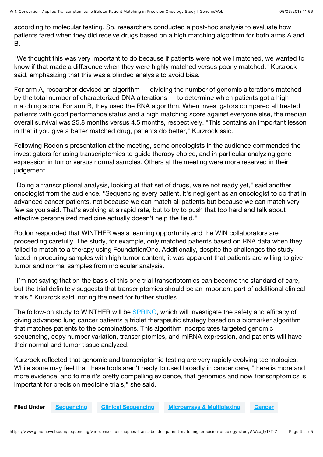according to molecular testing. So, researchers conducted a post-hoc analysis to evaluate how patients fared when they did receive drugs based on a high matching algorithm for both arms A and B.

"We thought this was very important to do because if patients were not well matched, we wanted to know if that made a difference when they were highly matched versus poorly matched," Kurzrock said, emphasizing that this was a blinded analysis to avoid bias.

For arm A, researcher devised an algorithm — dividing the number of genomic alterations matched by the total number of characterized DNA alterations — to determine which patients got a high matching score. For arm B, they used the RNA algorithm. When investigators compared all treated patients with good performance status and a high matching score against everyone else, the median overall survival was 25.8 months versus 4.5 months, respectively. "This contains an important lesson in that if you give a better matched drug, patients do better," Kurzrock said.

Following Rodon's presentation at the meeting, some oncologists in the audience commended the investigators for using transcriptomics to guide therapy choice, and in particular analyzing gene expression in tumor versus normal samples. Others at the meeting were more reserved in their judgement.

"Doing a transcriptional analysis, looking at that set of drugs, we're not ready yet," said another oncologist from the audience. "Sequencing every patient, it's negligent as an oncologist to do that in advanced cancer patients, not because we can match all patients but because we can match very few as you said. That's evolving at a rapid rate, but to try to push that too hard and talk about effective personalized medicine actually doesn't help the field."

Rodon responded that WINTHER was a learning opportunity and the WIN collaborators are proceeding carefully. The study, for example, only matched patients based on RNA data when they failed to match to a therapy using FoundationOne. Additionally, despite the challenges the study faced in procuring samples with high tumor content, it was apparent that patients are willing to give tumor and normal samples from molecular analysis.

"I'm not saying that on the basis of this one trial transcriptomics can become the standard of care, but the trial definitely suggests that transcriptomics should be an important part of additional clinical trials," Kurzrock said, noting the need for further studies.

The follow-on study to WINTHER will be [SPRING,](https://www.genomeweb.com/sequencing/fda-okays-win-consortium-trial-test-three-drug-nsclc-combo-validate-sims-algorithm#.WxahEmRG3Zs%20) which will investigate the safety and efficacy of giving advanced lung cancer patients a triplet therapeutic strategy based on a biomarker algorithm that matches patients to the combinations. This algorithm incorporates targeted genomic sequencing, copy number variation, transcriptomics, and miRNA expression, and patients will have their normal and tumor tissue analyzed.

Kurzrock reflected that genomic and transcriptomic testing are very rapidly evolving technologies. While some may feel that these tools aren't ready to used broadly in cancer care, "there is more and more evidence, and to me it's pretty compelling evidence, that genomics and now transcriptomics is important for precision medicine trials," she said.

Filed Under [Sequencing](https://www.genomeweb.com/sequencing) [Clinical Sequencing](https://www.genomeweb.com/clinical-sequencing) [Microarrays & Multiplexing](https://www.genomeweb.com/microarrays-multiplexing) [Cancer](https://www.genomeweb.com/cancer)